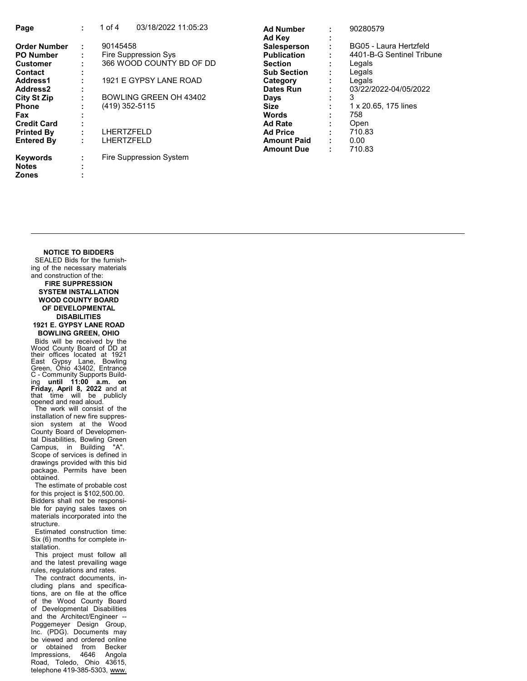| Page                 | ÷ | 03/18/2022 11:05:23<br>of $4$ | <b>Ad Number</b>   |   | 90280579                  |
|----------------------|---|-------------------------------|--------------------|---|---------------------------|
|                      |   |                               | Ad Key             |   |                           |
| <b>Order Number</b>  | ÷ | 90145458                      | <b>Salesperson</b> |   | BG05 - Laura Hertzfeld    |
| <b>PO Number</b>     |   | Fire Suppression Sys          | <b>Publication</b> |   | 4401-B-G Sentinel Tribune |
| <b>Customer</b>      |   | 366 WOOD COUNTY BD OF DD      | <b>Section</b>     |   | Legals                    |
| <b>Contact</b>       |   |                               | <b>Sub Section</b> |   | Legals                    |
| Address1             |   | 1921 E GYPSY LANE ROAD        | Category           |   | Legals                    |
| Address <sub>2</sub> |   |                               | Dates Run          |   | 03/22/2022-04/05/2022     |
| <b>City St Zip</b>   |   | BOWLING GREEN OH 43402        | Days               |   | 3                         |
| <b>Phone</b>         |   | (419) 352-5115                | <b>Size</b>        |   | 1 x 20.65, 175 lines      |
| <b>Fax</b>           |   |                               | <b>Words</b>       |   | 758                       |
| <b>Credit Card</b>   |   |                               | <b>Ad Rate</b>     |   | Open                      |
| <b>Printed By</b>    |   | LHERTZFELD                    | <b>Ad Price</b>    |   | 710.83                    |
| <b>Entered By</b>    |   | LHERTZFELD                    | <b>Amount Paid</b> | ٠ | 0.00                      |
|                      |   |                               | <b>Amount Due</b>  | ٠ | 710.83                    |
| <b>Keywords</b>      |   | Fire Suppression System       |                    |   |                           |
| <b>Notes</b>         |   |                               |                    |   |                           |
| <b>Zones</b>         |   |                               |                    |   |                           |

## NOTICE TO BIDDERS

 SEALED Bids for the furnishing of the necessary materials and construction of the: FIRE SUPPRESSION SYSTEM INSTALLATION WOOD COUNTY BOARD OF DEVELOPMENTAL DISABILITIES 1921 E. GYPSY LANE ROAD BOWLING GREEN, OHIO

 Bids will be received by the Wood County Board of DD at<br>their offices located at 1921<br>East Gypsy Lane, Bowling<br>Green, Ohio 43402, Entrance C - Community Supports Build-<br>ing until 11:00 a.m. on<br>Friday, April 8, 2022 and at<br>that time will be publicly<br>opened and read aloud.<br>The work will consist of the

installation of new fire suppression system at the Wood County Board of Developmental Disabilities, Bowling Green Campus, in Building "A". Scope of services is defined in drawings provided with this bid package. Permits have been obtained.

 The estimate of probable cost for this project is \$102,500.00. Bidders shall not be responsible for paying sales taxes on materials incorporated into the structure.

 Estimated construction time: Six (6) months for complete installation.

 This project must follow all and the latest prevailing wage rules, regulations and rates.

 The contract documents, including plans and specifications, are on file at the office of the Wood County Board of Developmental Disabilities and the Architect/Engineer -- Poggemeyer Design Group, Inc. (PDG). Documents may be viewed and ordered online or obtained from Becker Impressions, 4646 Angola Road, Toledo, Ohio 43615, telephone 419-385-5303, www.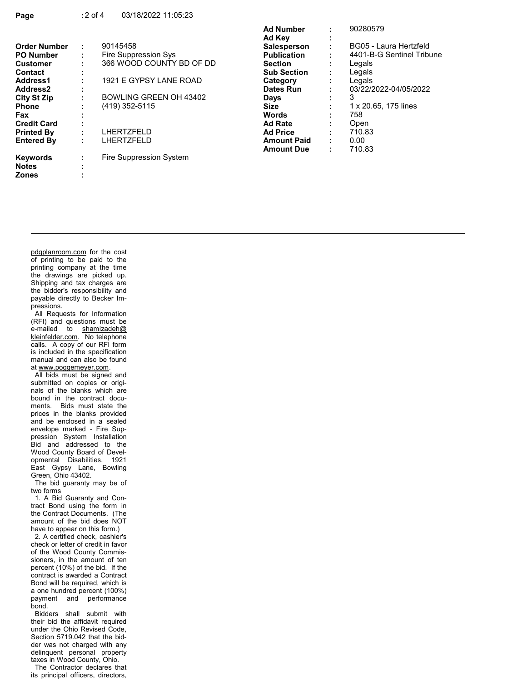|                      |   |                          | <b>Ad Number</b>   |   | 90280579                  |
|----------------------|---|--------------------------|--------------------|---|---------------------------|
|                      |   |                          | Ad Kev             |   |                           |
| <b>Order Number</b>  | ÷ | 90145458                 | <b>Salesperson</b> |   | BG05 - Laura Hertzfeld    |
| <b>PO Number</b>     |   | Fire Suppression Sys     | <b>Publication</b> |   | 4401-B-G Sentinel Tribune |
| <b>Customer</b>      |   | 366 WOOD COUNTY BD OF DD | <b>Section</b>     |   | Legals                    |
| <b>Contact</b>       |   |                          | <b>Sub Section</b> |   | Legals                    |
| Address1             |   | 1921 E GYPSY LANE ROAD   | Category           |   | Legals                    |
| Address <sub>2</sub> |   |                          | Dates Run          |   | 03/22/2022-04/05/2022     |
| <b>City St Zip</b>   | ٠ | BOWLING GREEN OH 43402   | Days               |   | 3                         |
| <b>Phone</b>         |   | $(419)$ 352-5115         | <b>Size</b>        |   | 1 x 20.65, 175 lines      |
| Fax                  |   |                          | <b>Words</b>       |   | 758                       |
| <b>Credit Card</b>   |   |                          | <b>Ad Rate</b>     |   | Open                      |
| <b>Printed By</b>    |   | LHERTZFELD               | <b>Ad Price</b>    |   | 710.83                    |
| <b>Entered By</b>    | ٠ | LHERTZFELD               | <b>Amount Paid</b> | ٠ | 0.00                      |
|                      |   |                          | <b>Amount Due</b>  |   | 710.83                    |
| <b>Keywords</b>      | ٠ | Fire Suppression System  |                    |   |                           |
| <b>Notes</b>         |   |                          |                    |   |                           |

pdgplanroom.com for the cost of printing to be paid to the printing company at the time the drawings are picked up. Shipping and tax charges are the bidder's responsibility and payable directly to Becker Impressions.

Zones :

 All Requests for Information (RFI) and questions must be e-mailed to shamizadeh@ kleinfelder.com. No telephone calls. A copy of our RFI form is included in the specification manual and can also be found at www.poggemeyer.com.

 All bids must be signed and submitted on copies or originals of the blanks which are bound in the contract documents. Bids must state the prices in the blanks provided and be enclosed in a sealed envelope marked - Fire Suppression System Installation Bid and addressed to the Wood County Board of Developmental Disabilities, 1921 East Gypsy Lane, Bowling Green, Ohio 43402.

 The bid guaranty may be of two forms

 1. A Bid Guaranty and Contract Bond using the form in the Contract Documents. (The amount of the bid does NOT have to appear on this form.)

 2. A certified check, cashier's check or letter of credit in favor of the Wood County Commissioners, in the amount of ten percent (10%) of the bid. If the contract is awarded a Contract Bond will be required, which is a one hundred percent (100%) payment and performance bond.

 Bidders shall submit with their bid the affidavit required under the Ohio Revised Code, Section 5719.042 that the bidder was not charged with any delinquent personal property taxes in Wood County, Ohio.

 The Contractor declares that its principal officers, directors,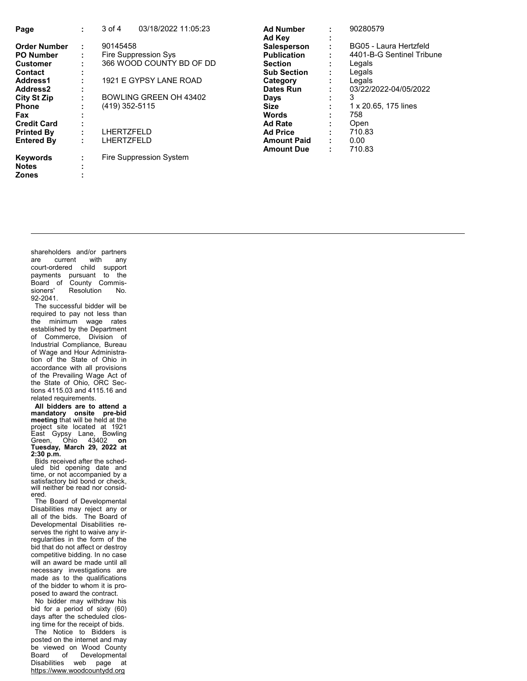| Page                 | ٠ | 03/18/2022 11:05:23<br>$3$ of $4$ | <b>Ad Number</b>   |   | 90280579                  |
|----------------------|---|-----------------------------------|--------------------|---|---------------------------|
|                      |   |                                   | Ad Kev             |   |                           |
| <b>Order Number</b>  | ÷ | 90145458                          | <b>Salesperson</b> |   | BG05 - Laura Hertzfeld    |
| <b>PO Number</b>     |   | Fire Suppression Sys              | <b>Publication</b> |   | 4401-B-G Sentinel Tribune |
| <b>Customer</b>      |   | 366 WOOD COUNTY BD OF DD          | <b>Section</b>     |   | Legals                    |
| Contact              |   |                                   | <b>Sub Section</b> |   | Legals                    |
| Address1             |   | 1921 E GYPSY LANE ROAD            | Category           |   | Legals                    |
| Address <sub>2</sub> |   |                                   | Dates Run          |   | 03/22/2022-04/05/2022     |
| <b>City St Zip</b>   |   | BOWLING GREEN OH 43402            | Days               | ٠ | 3                         |
| <b>Phone</b>         |   | (419) 352-5115                    | <b>Size</b>        | ٠ | 1 x 20.65, 175 lines      |
| Fax                  |   |                                   | <b>Words</b>       |   | 758                       |
| <b>Credit Card</b>   |   |                                   | <b>Ad Rate</b>     |   | Open                      |
| <b>Printed By</b>    |   | LHERTZFELD                        | <b>Ad Price</b>    |   | 710.83                    |
| <b>Entered By</b>    |   | LHERTZFELD                        | <b>Amount Paid</b> | ٠ | 0.00                      |
|                      |   |                                   | <b>Amount Due</b>  | ٠ | 710.83                    |
| <b>Keywords</b>      |   | Fire Suppression System           |                    |   |                           |
| <b>Notes</b>         |   |                                   |                    |   |                           |
| <b>Zones</b>         |   |                                   |                    |   |                           |

shareholders and/or partners are current with any court-ordered child support payments pursuant to the Board of County Commissioners' Resolution No. 92-2041.

 The successful bidder will be required to pay not less than the minimum wage rates established by the Department of Commerce, Division of Industrial Compliance, Bureau of Wage and Hour Administration of the State of Ohio in accordance with all provisions of the Prevailing Wage Act of the State of Ohio, ORC Sections 4115.03 and 4115.16 and related requirements.

 All bidders are to attend a manda tory onsite pre-bid meeting that will be held at the project site located at 1921<br>East Gypsy Lane, Bowling<br>Green, Ohio 43402 **on<br>Tuesday, March 29, 2022 at**  $2:30$  p.m.

 Bids received after the scheduled bid opening date and time, or not accompanied by a satisfactory bid bond or check, will neither be read nor considered.

 The Board of Developmental Disabilities may reject any or all of the bids. The Board of Developmental Disabilities reserves the right to waive any irregularities in the form of the bid that do not affect or destroy competitive bidding. In no case will an award be made until all necessary investigations are made as to the qualifications of the bidder to whom it is proposed to award the contract.

 No bidder may withdraw his bid for a period of sixty (60) days after the scheduled closing time for the receipt of bids.

 The Notice to Bidders is posted on the internet and may be viewed on Wood County Board of Developmental Disabilities web page at https://www.woodcountydd.org